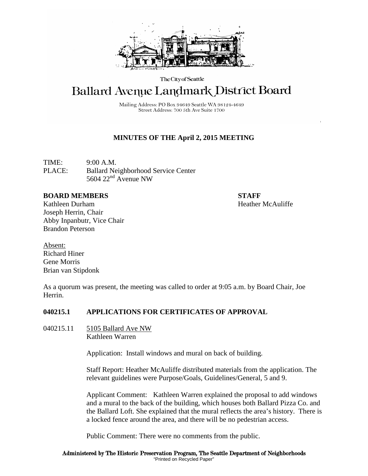

The City of Seattle

# **Ballard Avenue Landmark District Board**

Mailing Address: PO Box 94649 Seattle WA 98124-4649 Street Address: 700 5th Ave Suite 1700

# **MINUTES OF THE April 2, 2015 MEETING**

TIME: 9:00 A.M. PLACE: Ballard Neighborhood Service Center 5604 22nd Avenue NW

#### **BOARD MEMBERS STAFF**

Kathleen Durham **Heather McAuliffe** Joseph Herrin, Chair Abby Inpanbutr, Vice Chair Brandon Peterson

Absent: Richard Hiner Gene Morris Brian van Stipdonk

As a quorum was present, the meeting was called to order at 9:05 a.m. by Board Chair, Joe Herrin.

### **040215.1 APPLICATIONS FOR CERTIFICATES OF APPROVAL**

040215.11 5105 Ballard Ave NW Kathleen Warren

Application: Install windows and mural on back of building.

Staff Report: Heather McAuliffe distributed materials from the application. The relevant guidelines were Purpose/Goals, Guidelines/General, 5 and 9.

Applicant Comment: Kathleen Warren explained the proposal to add windows and a mural to the back of the building, which houses both Ballard Pizza Co. and the Ballard Loft. She explained that the mural reflects the area's history. There is a locked fence around the area, and there will be no pedestrian access.

Public Comment: There were no comments from the public.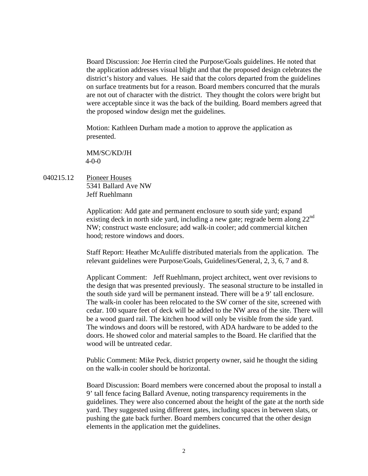Board Discussion: Joe Herrin cited the Purpose/Goals guidelines. He noted that the application addresses visual blight and that the proposed design celebrates the district's history and values. He said that the colors departed from the guidelines on surface treatments but for a reason. Board members concurred that the murals are not out of character with the district. They thought the colors were bright but were acceptable since it was the back of the building. Board members agreed that the proposed window design met the guidelines.

Motion: Kathleen Durham made a motion to approve the application as presented.

MM/SC/KD/JH 4-0-0

040215.12 Pioneer Houses 5341 Ballard Ave NW Jeff Ruehlmann

> Application: Add gate and permanent enclosure to south side yard; expand existing deck in north side yard, including a new gate; regrade berm along 22nd NW; construct waste enclosure; add walk-in cooler; add commercial kitchen hood; restore windows and doors.

Staff Report: Heather McAuliffe distributed materials from the application. The relevant guidelines were Purpose/Goals, Guidelines/General, 2, 3, 6, 7 and 8.

Applicant Comment: Jeff Ruehlmann, project architect, went over revisions to the design that was presented previously. The seasonal structure to be installed in the south side yard will be permanent instead. There will be a 9' tall enclosure. The walk-in cooler has been relocated to the SW corner of the site, screened with cedar. 100 square feet of deck will be added to the NW area of the site. There will be a wood guard rail. The kitchen hood will only be visible from the side yard. The windows and doors will be restored, with ADA hardware to be added to the doors. He showed color and material samples to the Board. He clarified that the wood will be untreated cedar.

Public Comment: Mike Peck, district property owner, said he thought the siding on the walk-in cooler should be horizontal.

Board Discussion: Board members were concerned about the proposal to install a 9' tall fence facing Ballard Avenue, noting transparency requirements in the guidelines. They were also concerned about the height of the gate at the north side yard. They suggested using different gates, including spaces in between slats, or pushing the gate back further. Board members concurred that the other design elements in the application met the guidelines.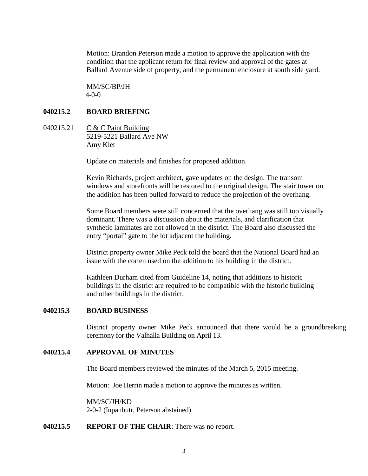Motion: Brandon Peterson made a motion to approve the application with the condition that the applicant return for final review and approval of the gates at Ballard Avenue side of property, and the permanent enclosure at south side yard.

MM/SC/BP/JH 4-0-0

### **040215.2 BOARD BRIEFING**

040215.21 C & C Paint Building 5219-5221 Ballard Ave NW Amy Klet

Update on materials and finishes for proposed addition.

Kevin Richards, project architect, gave updates on the design. The transom windows and storefronts will be restored to the original design. The stair tower on the addition has been pulled forward to reduce the projection of the overhang.

Some Board members were still concerned that the overhang was still too visually dominant. There was a discussion about the materials, and clarification that synthetic laminates are not allowed in the district. The Board also discussed the entry "portal" gate to the lot adjacent the building.

District property owner Mike Peck told the board that the National Board had an issue with the corten used on the addition to his building in the district.

Kathleen Durham cited from Guideline 14, noting that additions to historic buildings in the district are required to be compatible with the historic building and other buildings in the district.

#### **040215.3 BOARD BUSINESS**

District property owner Mike Peck announced that there would be a groundbreaking ceremony for the Valhalla Building on April 13.

### **040215.4 APPROVAL OF MINUTES**

The Board members reviewed the minutes of the March 5, 2015 meeting.

Motion: Joe Herrin made a motion to approve the minutes as written.

MM/SC/JH/KD 2-0-2 (Inpanbutr, Peterson abstained)

## **040215.5 REPORT OF THE CHAIR**: There was no report.